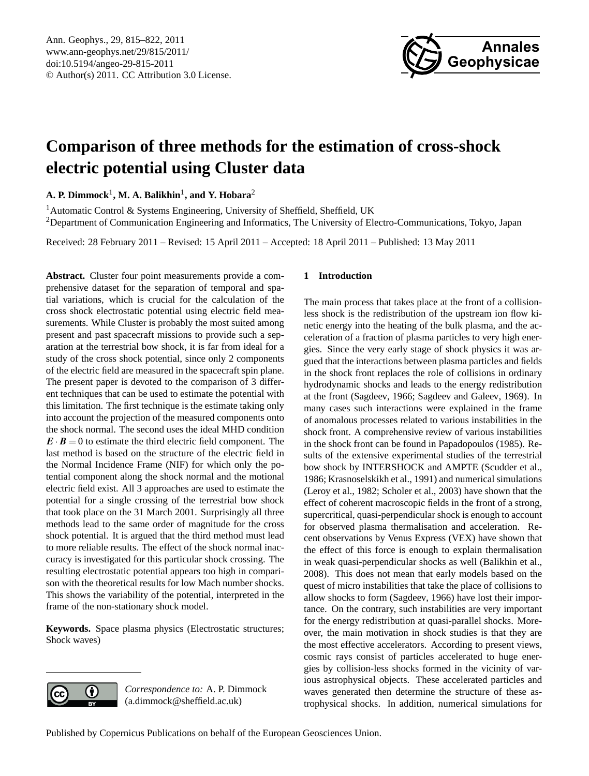

# <span id="page-0-0"></span>**Comparison of three methods for the estimation of cross-shock electric potential using Cluster data**

**A. P. Dimmock**<sup>1</sup> **, M. A. Balikhin**<sup>1</sup> **, and Y. Hobara**<sup>2</sup>

<sup>1</sup> Automatic Control & Systems Engineering, University of Sheffield, Sheffield, UK <sup>2</sup>Department of Communication Engineering and Informatics, The University of Electro-Communications, Tokyo, Japan

Received: 28 February 2011 – Revised: 15 April 2011 – Accepted: 18 April 2011 – Published: 13 May 2011

**Abstract.** Cluster four point measurements provide a comprehensive dataset for the separation of temporal and spatial variations, which is crucial for the calculation of the cross shock electrostatic potential using electric field measurements. While Cluster is probably the most suited among present and past spacecraft missions to provide such a separation at the terrestrial bow shock, it is far from ideal for a study of the cross shock potential, since only 2 components of the electric field are measured in the spacecraft spin plane. The present paper is devoted to the comparison of 3 different techniques that can be used to estimate the potential with this limitation. The first technique is the estimate taking only into account the projection of the measured components onto the shock normal. The second uses the ideal MHD condition  $\mathbf{E} \cdot \mathbf{B} = 0$  to estimate the third electric field component. The last method is based on the structure of the electric field in the Normal Incidence Frame (NIF) for which only the potential component along the shock normal and the motional electric field exist. All 3 approaches are used to estimate the potential for a single crossing of the terrestrial bow shock that took place on the 31 March 2001. Surprisingly all three methods lead to the same order of magnitude for the cross shock potential. It is argued that the third method must lead to more reliable results. The effect of the shock normal inaccuracy is investigated for this particular shock crossing. The resulting electrostatic potential appears too high in comparison with the theoretical results for low Mach number shocks. This shows the variability of the potential, interpreted in the frame of the non-stationary shock model.

**Keywords.** Space plasma physics (Electrostatic structures; Shock waves)

# 0

*Correspondence to:* A. P. Dimmock (a.dimmock@sheffield.ac.uk)

## **1 Introduction**

The main process that takes place at the front of a collisionless shock is the redistribution of the upstream ion flow kinetic energy into the heating of the bulk plasma, and the acceleration of a fraction of plasma particles to very high energies. Since the very early stage of shock physics it was argued that the interactions between plasma particles and fields in the shock front replaces the role of collisions in ordinary hydrodynamic shocks and leads to the energy redistribution at the front [\(Sagdeev,](#page-7-0) [1966;](#page-7-0) [Sagdeev and Galeev,](#page-7-1) [1969\)](#page-7-1). In many cases such interactions were explained in the frame of anomalous processes related to various instabilities in the shock front. A comprehensive review of various instabilities in the shock front can be found in [Papadopoulos](#page-7-2) [\(1985\)](#page-7-2). Results of the extensive experimental studies of the terrestrial bow shock by INTERSHOCK and AMPTE [\(Scudder et al.,](#page-7-3) [1986;](#page-7-3) [Krasnoselskikh et al.,](#page-7-4) [1991\)](#page-7-4) and numerical simulations [\(Leroy et al.,](#page-7-5) [1982;](#page-7-5) [Scholer et al.,](#page-7-6) [2003\)](#page-7-6) have shown that the effect of coherent macroscopic fields in the front of a strong, supercritical, quasi-perpendicular shock is enough to account for observed plasma thermalisation and acceleration. Recent observations by Venus Express (VEX) have shown that the effect of this force is enough to explain thermalisation in weak quasi-perpendicular shocks as well [\(Balikhin et al.,](#page-6-0) [2008\)](#page-6-0). This does not mean that early models based on the quest of micro instabilities that take the place of collisions to allow shocks to form [\(Sagdeev,](#page-7-0) [1966\)](#page-7-0) have lost their importance. On the contrary, such instabilities are very important for the energy redistribution at quasi-parallel shocks. Moreover, the main motivation in shock studies is that they are the most effective accelerators. According to present views, cosmic rays consist of particles accelerated to huge energies by collision-less shocks formed in the vicinity of various astrophysical objects. These accelerated particles and waves generated then determine the structure of these astrophysical shocks. In addition, numerical simulations for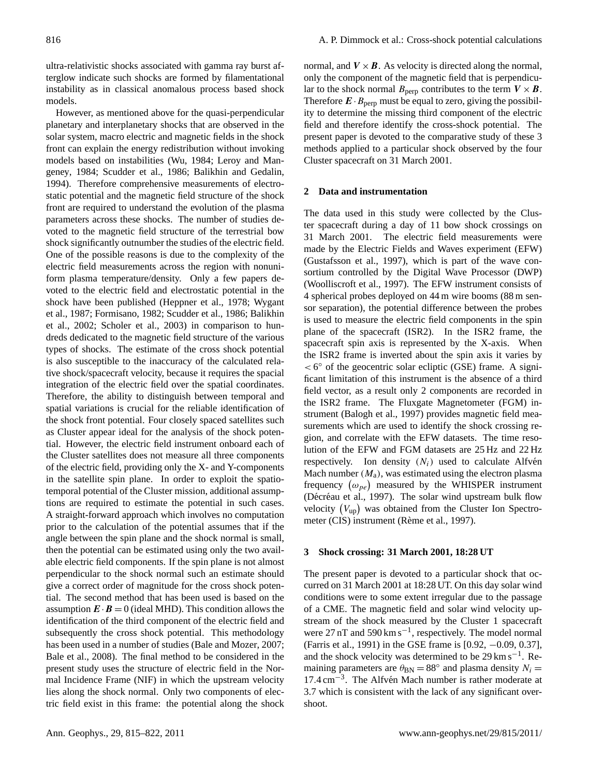However, as mentioned above for the quasi-perpendicular planetary and interplanetary shocks that are observed in the solar system, macro electric and magnetic fields in the shock front can explain the energy redistribution without invoking models based on instabilities [\(Wu,](#page-7-7) [1984;](#page-7-7) [Leroy and Man](#page-7-8)[geney,](#page-7-8) [1984;](#page-7-8) [Scudder et al.,](#page-7-3) [1986;](#page-7-3) [Balikhin and Gedalin,](#page-6-1) [1994\)](#page-6-1). Therefore comprehensive measurements of electrostatic potential and the magnetic field structure of the shock front are required to understand the evolution of the plasma parameters across these shocks. The number of studies devoted to the magnetic field structure of the terrestrial bow shock significantly outnumber the studies of the electric field. One of the possible reasons is due to the complexity of the electric field measurements across the region with nonuniform plasma temperature/density. Only a few papers devoted to the electric field and electrostatic potential in the shock have been published [\(Heppner et al.,](#page-7-9) [1978;](#page-7-9) [Wygant](#page-7-10) [et al.,](#page-7-10) [1987;](#page-7-10) [Formisano,](#page-6-2) [1982;](#page-6-2) [Scudder et al.,](#page-7-3) [1986;](#page-7-3) [Balikhin](#page-6-3) [et al.,](#page-6-3) [2002;](#page-6-3) [Scholer et al.,](#page-7-6) [2003\)](#page-7-6) in comparison to hundreds dedicated to the magnetic field structure of the various types of shocks. The estimate of the cross shock potential is also susceptible to the inaccuracy of the calculated relative shock/spacecraft velocity, because it requires the spacial integration of the electric field over the spatial coordinates. Therefore, the ability to distinguish between temporal and spatial variations is crucial for the reliable identification of the shock front potential. Four closely spaced satellites such as Cluster appear ideal for the analysis of the shock potential. However, the electric field instrument onboard each of the Cluster satellites does not measure all three components of the electric field, providing only the X- and Y-components in the satellite spin plane. In order to exploit the spatiotemporal potential of the Cluster mission, additional assumptions are required to estimate the potential in such cases. A straight-forward approach which involves no computation prior to the calculation of the potential assumes that if the angle between the spin plane and the shock normal is small, then the potential can be estimated using only the two available electric field components. If the spin plane is not almost perpendicular to the shock normal such an estimate should give a correct order of magnitude for the cross shock potential. The second method that has been used is based on the assumption  $\mathbf{E} \cdot \mathbf{B} = 0$  (ideal MHD). This condition allows the identification of the third component of the electric field and subsequently the cross shock potential. This methodology has been used in a number of studies [\(Bale and Mozer,](#page-6-4) [2007;](#page-6-4) [Bale et al.,](#page-6-5) [2008\)](#page-6-5). The final method to be considered in the present study uses the structure of electric field in the Normal Incidence Frame (NIF) in which the upstream velocity lies along the shock normal. Only two components of electric field exist in this frame: the potential along the shock

normal, and  $V \times B$ . As velocity is directed along the normal, only the component of the magnetic field that is perpendicular to the shock normal  $B_{\text{perp}}$  contributes to the term  $V \times B$ . Therefore  $E \cdot B_{\text{perp}}$  must be equal to zero, giving the possibility to determine the missing third component of the electric field and therefore identify the cross-shock potential. The present paper is devoted to the comparative study of these 3 methods applied to a particular shock observed by the four Cluster spacecraft on 31 March 2001.

#### **2 Data and instrumentation**

The data used in this study were collected by the Cluster spacecraft during a day of 11 bow shock crossings on 31 March 2001. The electric field measurements were made by the Electric Fields and Waves experiment (EFW) [\(Gustafsson et al.,](#page-7-11) [1997\)](#page-7-11), which is part of the wave consortium controlled by the Digital Wave Processor (DWP) [\(Woolliscroft et al.,](#page-7-12) [1997\)](#page-7-12). The EFW instrument consists of 4 spherical probes deployed on 44 m wire booms (88 m sensor separation), the potential difference between the probes is used to measure the electric field components in the spin plane of the spacecraft (ISR2). In the ISR2 frame, the spacecraft spin axis is represented by the X-axis. When the ISR2 frame is inverted about the spin axis it varies by  $<$  6 $\degree$  of the geocentric solar ecliptic (GSE) frame. A significant limitation of this instrument is the absence of a third field vector, as a result only 2 components are recorded in the ISR2 frame. The Fluxgate Magnetometer (FGM) instrument [\(Balogh et al.,](#page-6-6) [1997\)](#page-6-6) provides magnetic field measurements which are used to identify the shock crossing region, and correlate with the EFW datasets. The time resolution of the EFW and FGM datasets are 25 Hz and 22 Hz respectively. Ion density  $(N_i)$  used to calculate Alfvén Mach number  $(M_a)$ , was estimated using the electron plasma frequency  $(\omega_{pe})$  measured by the WHISPER instrument (Décréau et al., [1997\)](#page-6-7). The solar wind upstream bulk flow velocity  $(V_{\text{up}})$  was obtained from the Cluster Ion Spectro-meter (CIS) instrument (Rème et al., [1997\)](#page-7-13).

#### **3 Shock crossing: 31 March 2001, 18:28 UT**

The present paper is devoted to a particular shock that occurred on 31 March 2001 at 18:28 UT. On this day solar wind conditions were to some extent irregular due to the passage of a CME. The magnetic field and solar wind velocity upstream of the shock measured by the Cluster 1 spacecraft were 27 nT and 590 km s<sup>-1</sup>, respectively. The model normal [\(Farris et al.,](#page-6-8) [1991\)](#page-6-8) in the GSE frame is [0.92, −0.09, 0.37], and the shock velocity was determined to be 29 km s−<sup>1</sup> . Remaining parameters are  $\theta_{BN} = 88^\circ$  and plasma density  $N_i =$ 17.4 cm<sup>-3</sup>. The Alfvén Mach number is rather moderate at 3.7 which is consistent with the lack of any significant overshoot.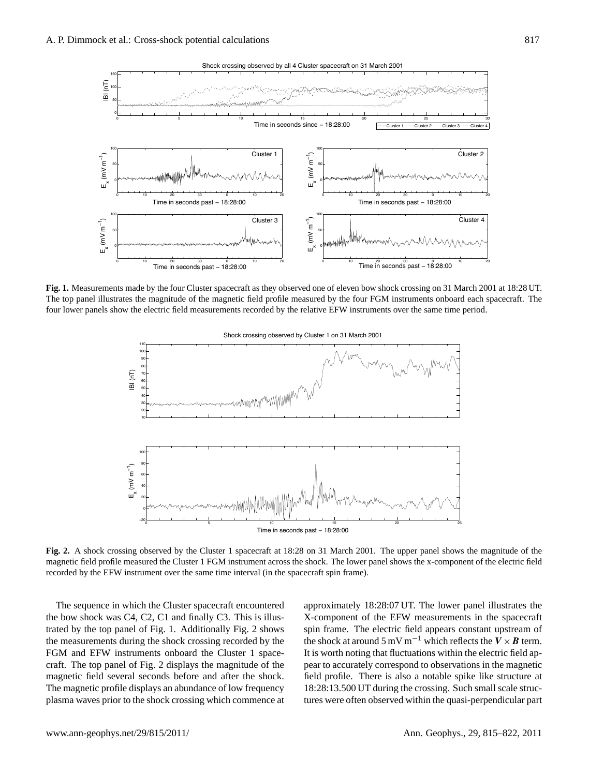

<span id="page-2-0"></span>**Fig. 1.** Measurements made by the four Cluster spacecraft as they observed one of eleven bow shock crossing on 31 March 2001 at 18:28 UT. The top panel illustrates the magnitude of the magnetic field profile measured by the four FGM instruments onboard each spacecraft. The four lower panels show the electric field measurements recorded by the relative EFW instruments over the same time period.



<span id="page-2-1"></span>**Fig. 2.** A shock crossing observed by the Cluster 1 spacecraft at 18:28 on 31 March 2001. The upper panel shows the magnitude of the magnetic field profile measured the Cluster 1 FGM instrument across the shock. The lower panel shows the x-component of the electric field recorded by the EFW instrument over the same time interval (in the spacecraft spin frame).

The sequence in which the Cluster spacecraft encountered the bow shock was C4, C2, C1 and finally C3. This is illustrated by the top panel of Fig. [1.](#page-2-0) Additionally Fig. [2](#page-2-1) shows the measurements during the shock crossing recorded by the FGM and EFW instruments onboard the Cluster 1 spacecraft. The top panel of Fig. [2](#page-2-1) displays the magnitude of the magnetic field several seconds before and after the shock. The magnetic profile displays an abundance of low frequency plasma waves prior to the shock crossing which commence at approximately 18:28:07 UT. The lower panel illustrates the X-component of the EFW measurements in the spacecraft spin frame. The electric field appears constant upstream of the shock at around 5 mV m<sup>-1</sup> which reflects the  $V \times B$  term. It is worth noting that fluctuations within the electric field appear to accurately correspond to observations in the magnetic field profile. There is also a notable spike like structure at 18:28:13.500 UT during the crossing. Such small scale structures were often observed within the quasi-perpendicular part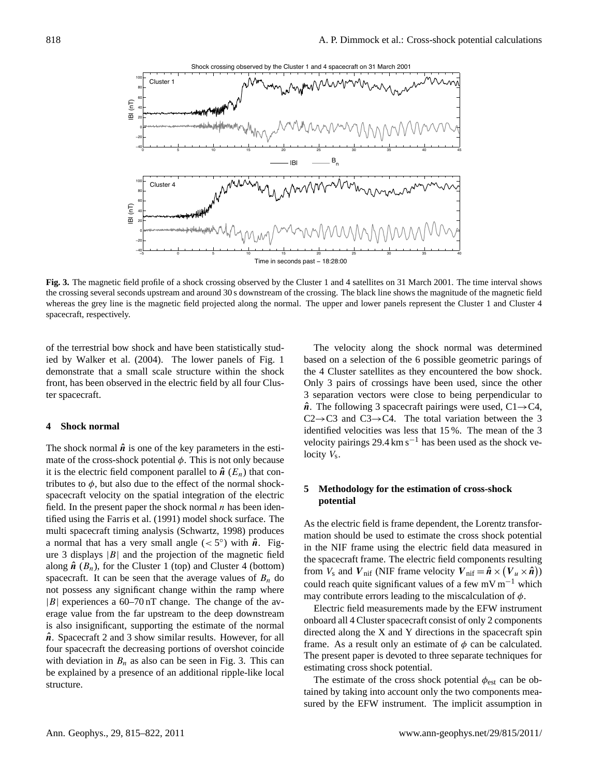

<span id="page-3-0"></span>**Fig. 3.** The magnetic field profile of a shock crossing observed by the Cluster 1 and 4 satellites on 31 March 2001. The time interval shows the crossing several seconds upstream and around 30 s downstream of the crossing. The black line shows the magnitude of the magnetic field whereas the grey line is the magnetic field projected along the normal. The upper and lower panels represent the Cluster 1 and Cluster 4 spacecraft, respectively.

of the terrestrial bow shock and have been statistically studied by [Walker et al.](#page-7-14) [\(2004\)](#page-7-14). The lower panels of Fig. [1](#page-2-0) demonstrate that a small scale structure within the shock front, has been observed in the electric field by all four Cluster spacecraft.

#### **4 Shock normal**

The shock normal  $\hat{\boldsymbol{n}}$  is one of the key parameters in the estimate of the cross-shock potential  $\phi$ . This is not only because it is the electric field component parallel to  $\hat{\boldsymbol{n}}$  ( $E_n$ ) that contributes to  $\phi$ , but also due to the effect of the normal shockspacecraft velocity on the spatial integration of the electric field. In the present paper the shock normal  $n$  has been identified using the [Farris et al.](#page-6-8) [\(1991\)](#page-6-8) model shock surface. The multi spacecraft timing analysis [\(Schwartz,](#page-7-15) [1998\)](#page-7-15) produces a normal that has a very small angle ( $<$  5°) with  $\hat{n}$ . Fig-ure [3](#page-3-0) displays  $|B|$  and the projection of the magnetic field along  $\hat{\boldsymbol{n}}$  ( $B_n$ ), for the Cluster 1 (top) and Cluster 4 (bottom) spacecraft. It can be seen that the average values of  $B_n$  do not possess any significant change within the ramp where  $|B|$  experiences a 60–70 nT change. The change of the average value from the far upstream to the deep downstream is also insignificant, supporting the estimate of the normal  $\hat{n}$ . Spacecraft 2 and 3 show similar results. However, for all four spacecraft the decreasing portions of overshot coincide with deviation in  $B_n$  as also can be seen in Fig. [3.](#page-3-0) This can be explained by a presence of an additional ripple-like local structure.

The velocity along the shock normal was determined based on a selection of the 6 possible geometric parings of the 4 Cluster satellites as they encountered the bow shock. Only 3 pairs of crossings have been used, since the other 3 separation vectors were close to being perpendicular to  $\hat{\boldsymbol{n}}$ . The following 3 spacecraft pairings were used, C1 $\rightarrow$ C4,  $C2 \rightarrow C3$  and  $C3 \rightarrow C4$ . The total variation between the 3 identified velocities was less that 15 %. The mean of the 3 velocity pairings 29.4 km s<sup> $-1$ </sup> has been used as the shock velocity  $V_s$ .

## **5 Methodology for the estimation of cross-shock potential**

As the electric field is frame dependent, the Lorentz transformation should be used to estimate the cross shock potential in the NIF frame using the electric field data measured in the spacecraft frame. The electric field components resulting from  $V_s$  and  $V_{\text{nif}}$  (NIF frame velocity  $V_{\text{nif}} = \hat{n} \times (V_u \times \hat{n})$ ) could reach quite significant values of a few mV m−<sup>1</sup> which may contribute errors leading to the miscalculation of  $\phi$ .

Electric field measurements made by the EFW instrument onboard all 4 Cluster spacecraft consist of only 2 components directed along the X and Y directions in the spacecraft spin frame. As a result only an estimate of  $\phi$  can be calculated. The present paper is devoted to three separate techniques for estimating cross shock potential.

The estimate of the cross shock potential  $\phi_{est}$  can be obtained by taking into account only the two components measured by the EFW instrument. The implicit assumption in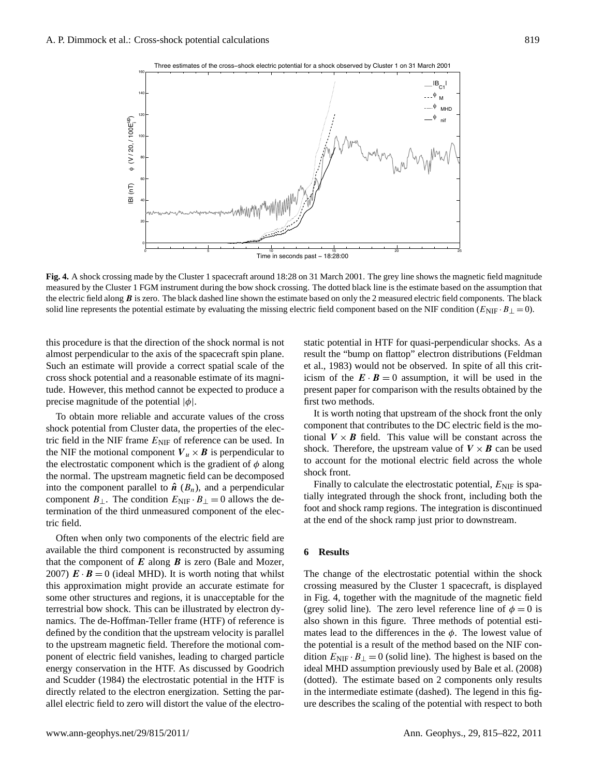

<span id="page-4-0"></span>**Fig. 4.** A shock crossing made by the Cluster 1 spacecraft around 18:28 on 31 March 2001. The grey line shows the magnetic field magnitude measured by the Cluster 1 FGM instrument during the bow shock crossing. The dotted black line is the estimate based on the assumption that the electric field along  $B$  is zero. The black dashed line shown the estimate based on only the 2 measured electric field components. The black solid line represents the potential estimate by evaluating the missing electric field component based on the NIF condition ( $E_{\text{NIF}} \cdot B_{\perp} = 0$ ).

this procedure is that the direction of the shock normal is not almost perpendicular to the axis of the spacecraft spin plane. Such an estimate will provide a correct spatial scale of the cross shock potential and a reasonable estimate of its magnitude. However, this method cannot be expected to produce a precise magnitude of the potential  $|\phi|$ .

To obtain more reliable and accurate values of the cross shock potential from Cluster data, the properties of the electric field in the NIF frame  $E_{\text{NIF}}$  of reference can be used. In the NIF the motional component  $V_u \times B$  is perpendicular to the electrostatic component which is the gradient of  $\phi$  along the normal. The upstream magnetic field can be decomposed into the component parallel to  $\hat{\boldsymbol{n}}$  ( $B_n$ ), and a perpendicular component  $B_{\perp}$ . The condition  $E_{\text{NIF}} \cdot B_{\perp} = 0$  allows the determination of the third unmeasured component of the electric field.

Often when only two components of the electric field are available the third component is reconstructed by assuming that the component of  $E$  along  $B$  is zero [\(Bale and Mozer,](#page-6-4) [2007\)](#page-6-4)  $\mathbf{E} \cdot \mathbf{B} = 0$  (ideal MHD). It is worth noting that whilst this approximation might provide an accurate estimate for some other structures and regions, it is unacceptable for the terrestrial bow shock. This can be illustrated by electron dynamics. The de-Hoffman-Teller frame (HTF) of reference is defined by the condition that the upstream velocity is parallel to the upstream magnetic field. Therefore the motional component of electric field vanishes, leading to charged particle energy conservation in the HTF. As discussed by [Goodrich](#page-6-9) [and Scudder](#page-6-9) [\(1984\)](#page-6-9) the electrostatic potential in the HTF is directly related to the electron energization. Setting the parallel electric field to zero will distort the value of the electrostatic potential in HTF for quasi-perpendicular shocks. As a result the "bump on flattop" electron distributions [\(Feldman](#page-6-10) [et al.,](#page-6-10) [1983\)](#page-6-10) would not be observed. In spite of all this criticism of the  $\mathbf{E} \cdot \mathbf{B} = 0$  assumption, it will be used in the present paper for comparison with the results obtained by the first two methods.

It is worth noting that upstream of the shock front the only component that contributes to the DC electric field is the motional  $V \times B$  field. This value will be constant across the shock. Therefore, the upstream value of  $V \times B$  can be used to account for the motional electric field across the whole shock front.

Finally to calculate the electrostatic potential,  $E_{\text{NIF}}$  is spatially integrated through the shock front, including both the foot and shock ramp regions. The integration is discontinued at the end of the shock ramp just prior to downstream.

#### **6 Results**

The change of the electrostatic potential within the shock crossing measured by the Cluster 1 spacecraft, is displayed in Fig. [4,](#page-4-0) together with the magnitude of the magnetic field (grey solid line). The zero level reference line of  $\phi = 0$  is also shown in this figure. Three methods of potential estimates lead to the differences in the  $\phi$ . The lowest value of the potential is a result of the method based on the NIF condition  $E_{\text{NIF}} \cdot B_{\perp} = 0$  (solid line). The highest is based on the ideal MHD assumption previously used by [Bale et al.](#page-6-5) [\(2008\)](#page-6-5) (dotted). The estimate based on 2 components only results in the intermediate estimate (dashed). The legend in this figure describes the scaling of the potential with respect to both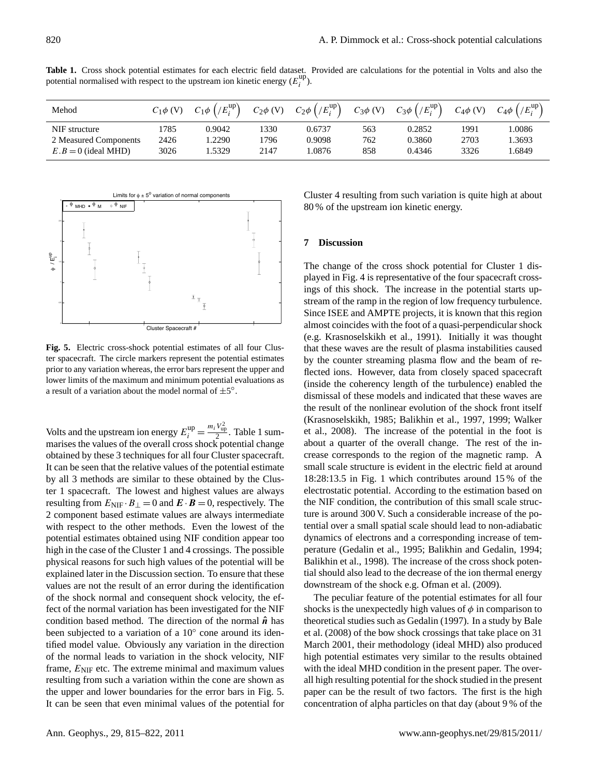<span id="page-5-0"></span>**Table 1.** Cross shock potential estimates for each electric field dataset. Provided are calculations for the potential in Volts and also the potential normalised with respect to the upstream ion kinetic energy  $(E_i^{\text{up}})$  $i^{up}$ ).

| Mehod                 | $C_1\phi$ (V) | $C_1\phi$ $(fE_i^{up})$ | $C_2\phi$ (V) | $C_2\phi$ $(fE_i^{up})$ | $C_3\phi$ (V) | $C_3\phi$ $(fE_i^{up})$ | $C_4\phi$ (V) | $C_4\phi$ $//E_i^{\text{up}}$ |
|-----------------------|---------------|-------------------------|---------------|-------------------------|---------------|-------------------------|---------------|-------------------------------|
| NIF structure         | 1785          | 0.9042                  | 1330          | 0.6737                  | 563           | 0.2852                  | 1991          | .0086                         |
| 2 Measured Components | 2426          | .2290                   | 796           | 0.9098                  | 762           | 0.3860                  | 2703          | .3693                         |
| $E.B = 0$ (ideal MHD) | 3026          | .5329                   | 2147          | .0876                   | 858           | 0.4346                  | 3326          | .6849                         |



<span id="page-5-1"></span>**Fig. 5.** Electric cross-shock potential estimates of all four Cluster spacecraft. The circle markers represent the potential estimates prior to any variation whereas, the error bars represent the upper and lower limits of the maximum and minimum potential evaluations as a result of a variation about the model normal of  $\pm 5^{\circ}$ .

Volts and the upstream ion energy  $E_i^{\text{up}} = \frac{m_i V_{\text{up}}^2}{2}$ . Table [1](#page-5-0) summarises the values of the overall cross shock potential change obtained by these 3 techniques for all four Cluster spacecraft. It can be seen that the relative values of the potential estimate by all 3 methods are similar to these obtained by the Cluster 1 spacecraft. The lowest and highest values are always resulting from  $E_{\text{NIF}} \cdot B_{\perp} = 0$  and  $E \cdot B = 0$ , respectively. The 2 component based estimate values are always intermediate with respect to the other methods. Even the lowest of the potential estimates obtained using NIF condition appear too high in the case of the Cluster 1 and 4 crossings. The possible physical reasons for such high values of the potential will be explained later in the Discussion section. To ensure that these values are not the result of an error during the identification of the shock normal and consequent shock velocity, the effect of the normal variation has been investigated for the NIF condition based method. The direction of the normal  $\hat{n}$  has been subjected to a variation of a 10° cone around its identified model value. Obviously any variation in the direction of the normal leads to variation in the shock velocity, NIF frame,  $E_{\text{NIF}}$  etc. The extreme minimal and maximum values resulting from such a variation within the cone are shown as the upper and lower boundaries for the error bars in Fig. [5.](#page-5-1) It can be seen that even minimal values of the potential for Cluster 4 resulting from such variation is quite high at about 80 % of the upstream ion kinetic energy.

#### **7 Discussion**

The change of the cross shock potential for Cluster 1 displayed in Fig. [4](#page-4-0) is representative of the four spacecraft crossings of this shock. The increase in the potential starts upstream of the ramp in the region of low frequency turbulence. Since ISEE and AMPTE projects, it is known that this region almost coincides with the foot of a quasi-perpendicular shock (e.g. [Krasnoselskikh et al.,](#page-7-4) [1991\)](#page-7-4). Initially it was thought that these waves are the result of plasma instabilities caused by the counter streaming plasma flow and the beam of reflected ions. However, data from closely spaced spacecraft (inside the coherency length of the turbulence) enabled the dismissal of these models and indicated that these waves are the result of the nonlinear evolution of the shock front itself [\(Krasnoselskikh,](#page-7-16) [1985;](#page-7-16) [Balikhin et al.,](#page-6-11) [1997,](#page-6-11) [1999;](#page-6-12) [Walker](#page-7-17) [et al.,](#page-7-17) [2008\)](#page-7-17). The increase of the potential in the foot is about a quarter of the overall change. The rest of the increase corresponds to the region of the magnetic ramp. A small scale structure is evident in the electric field at around 18:28:13.5 in Fig. 1 which contributes around 15 % of the electrostatic potential. According to the estimation based on the NIF condition, the contribution of this small scale structure is around 300 V. Such a considerable increase of the potential over a small spatial scale should lead to non-adiabatic dynamics of electrons and a corresponding increase of temperature [\(Gedalin et al.,](#page-6-13) [1995;](#page-6-13) [Balikhin and Gedalin,](#page-6-1) [1994;](#page-6-1) [Balikhin et al.,](#page-6-14) [1998\)](#page-6-14). The increase of the cross shock potential should also lead to the decrease of the ion thermal energy downstream of the shock e.g. [Ofman et al.](#page-7-18) [\(2009\)](#page-7-18).

The peculiar feature of the potential estimates for all four shocks is the unexpectedly high values of  $\phi$  in comparison to theoretical studies such as [Gedalin](#page-6-15) [\(1997\)](#page-6-15). In a study by [Bale](#page-6-5) [et al.](#page-6-5) [\(2008\)](#page-6-5) of the bow shock crossings that take place on 31 March 2001, their methodology (ideal MHD) also produced high potential estimates very similar to the results obtained with the ideal MHD condition in the present paper. The overall high resulting potential for the shock studied in the present paper can be the result of two factors. The first is the high concentration of alpha particles on that day (about 9 % of the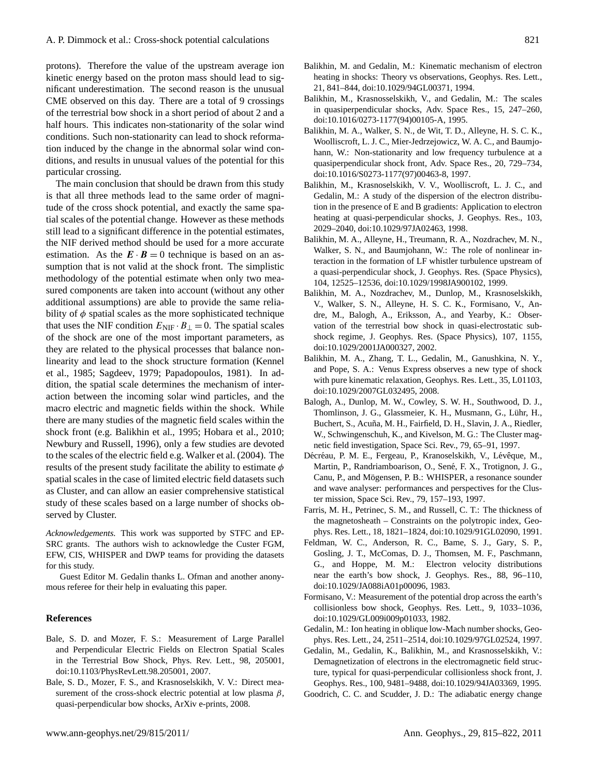protons). Therefore the value of the upstream average ion kinetic energy based on the proton mass should lead to significant underestimation. The second reason is the unusual CME observed on this day. There are a total of 9 crossings of the terrestrial bow shock in a short period of about 2 and a half hours. This indicates non-stationarity of the solar wind conditions. Such non-stationarity can lead to shock reformation induced by the change in the abnormal solar wind conditions, and results in unusual values of the potential for this particular crossing.

The main conclusion that should be drawn from this study is that all three methods lead to the same order of magnitude of the cross shock potential, and exactly the same spatial scales of the potential change. However as these methods still lead to a significant difference in the potential estimates, the NIF derived method should be used for a more accurate estimation. As the  $\mathbf{E} \cdot \mathbf{B} = 0$  technique is based on an assumption that is not valid at the shock front. The simplistic methodology of the potential estimate when only two measured components are taken into account (without any other additional assumptions) are able to provide the same reliability of  $\phi$  spatial scales as the more sophisticated technique that uses the NIF condition  $E_{\text{NIF}} \cdot B_{\perp} = 0$ . The spatial scales of the shock are one of the most important parameters, as they are related to the physical processes that balance nonlinearity and lead to the shock structure formation [\(Kennel](#page-7-19) [et al.,](#page-7-19) [1985;](#page-7-19) [Sagdeev,](#page-7-20) [1979;](#page-7-20) [Papadopoulos,](#page-7-21) [1981\)](#page-7-21). In addition, the spatial scale determines the mechanism of interaction between the incoming solar wind particles, and the macro electric and magnetic fields within the shock. While there are many studies of the magnetic field scales within the shock front (e.g. [Balikhin et al.,](#page-6-16) [1995;](#page-6-16) [Hobara et al.,](#page-7-22) [2010;](#page-7-22) [Newbury and Russell,](#page-7-23) [1996\)](#page-7-23), only a few studies are devoted to the scales of the electric field e.g. [Walker et al.](#page-7-14) [\(2004\)](#page-7-14). The results of the present study facilitate the ability to estimate  $\phi$ spatial scales in the case of limited electric field datasets such as Cluster, and can allow an easier comprehensive statistical study of these scales based on a large number of shocks observed by Cluster.

*Acknowledgements.* This work was supported by STFC and EP-SRC grants. The authors wish to acknowledge the Custer FGM, EFW, CIS, WHISPER and DWP teams for providing the datasets for this study.

Guest Editor M. Gedalin thanks L. Ofman and another anonymous referee for their help in evaluating this paper.

#### **References**

- <span id="page-6-4"></span>Bale, S. D. and Mozer, F. S.: Measurement of Large Parallel and Perpendicular Electric Fields on Electron Spatial Scales in the Terrestrial Bow Shock, Phys. Rev. Lett., 98, 205001, [doi:10.1103/PhysRevLett.98.205001,](http://dx.doi.org/10.1103/PhysRevLett.98.205001) 2007.
- <span id="page-6-5"></span>Bale, S. D., Mozer, F. S., and Krasnoselskikh, V. V.: Direct measurement of the cross-shock electric potential at low plasma  $\beta$ , quasi-perpendicular bow shocks, ArXiv e-prints, 2008.
- <span id="page-6-16"></span><span id="page-6-1"></span>Balikhin, M., Krasnosselskikh, V., and Gedalin, M.: The scales in quasiperpendicular shocks, Adv. Space Res., 15, 247–260, [doi:10.1016/0273-1177\(94\)00105-A,](http://dx.doi.org/10.1016/0273-1177(94)00105-A) 1995.
- <span id="page-6-11"></span>Balikhin, M. A., Walker, S. N., de Wit, T. D., Alleyne, H. S. C. K., Woolliscroft, L. J. C., Mier-Jedrzejowicz, W. A. C., and Baumjohann, W.: Non-stationarity and low frequency turbulence at a quasiperpendicular shock front, Adv. Space Res., 20, 729–734, [doi:10.1016/S0273-1177\(97\)00463-8,](http://dx.doi.org/10.1016/S0273-1177(97)00463-8) 1997.
- <span id="page-6-14"></span>Balikhin, M., Krasnoselskikh, V. V., Woolliscroft, L. J. C., and Gedalin, M.: A study of the dispersion of the electron distribution in the presence of E and B gradients: Application to electron heating at quasi-perpendicular shocks, J. Geophys. Res., 103, 2029–2040, [doi:10.1029/97JA02463,](http://dx.doi.org/10.1029/97JA02463) 1998.
- <span id="page-6-12"></span>Balikhin, M. A., Alleyne, H., Treumann, R. A., Nozdrachev, M. N., Walker, S. N., and Baumjohann, W.: The role of nonlinear interaction in the formation of LF whistler turbulence upstream of a quasi-perpendicular shock, J. Geophys. Res. (Space Physics), 104, 12525–12536, [doi:10.1029/1998JA900102,](http://dx.doi.org/10.1029/1998JA900102) 1999.
- <span id="page-6-3"></span>Balikhin, M. A., Nozdrachev, M., Dunlop, M., Krasnoselskikh, V., Walker, S. N., Alleyne, H. S. C. K., Formisano, V., Andre, M., Balogh, A., Eriksson, A., and Yearby, K.: Observation of the terrestrial bow shock in quasi-electrostatic subshock regime, J. Geophys. Res. (Space Physics), 107, 1155, [doi:10.1029/2001JA000327,](http://dx.doi.org/10.1029/2001JA000327) 2002.
- <span id="page-6-0"></span>Balikhin, M. A., Zhang, T. L., Gedalin, M., Ganushkina, N. Y., and Pope, S. A.: Venus Express observes a new type of shock with pure kinematic relaxation, Geophys. Res. Lett., 35, L01103, [doi:10.1029/2007GL032495,](http://dx.doi.org/10.1029/2007GL032495) 2008.
- <span id="page-6-6"></span>Balogh, A., Dunlop, M. W., Cowley, S. W. H., Southwood, D. J., Thomlinson, J. G., Glassmeier, K. H., Musmann, G., Lühr, H., Buchert, S., Acuña, M. H., Fairfield, D. H., Slavin, J. A., Riedler, W., Schwingenschuh, K., and Kivelson, M. G.: The Cluster magnetic field investigation, Space Sci. Rev., 79, 65–91, 1997.
- <span id="page-6-7"></span>Décréau, P. M. E., Fergeau, P., Kranoselskikh, V., Lévêque, M., Martin, P., Randriamboarison, O., Sené, F. X., Trotignon, J. G., Canu, P., and Mögensen, P. B.: WHISPER, a resonance sounder and wave analyser: performances and perspectives for the Cluster mission, Space Sci. Rev., 79, 157–193, 1997.
- <span id="page-6-8"></span>Farris, M. H., Petrinec, S. M., and Russell, C. T.: The thickness of the magnetosheath – Constraints on the polytropic index, Geophys. Res. Lett., 18, 1821–1824, [doi:10.1029/91GL02090,](http://dx.doi.org/10.1029/91GL02090) 1991.
- <span id="page-6-10"></span>Feldman, W. C., Anderson, R. C., Bame, S. J., Gary, S. P., Gosling, J. T., McComas, D. J., Thomsen, M. F., Paschmann, G., and Hoppe, M. M.: Electron velocity distributions near the earth's bow shock, J. Geophys. Res., 88, 96–110, [doi:10.1029/JA088iA01p00096,](http://dx.doi.org/10.1029/JA088iA01p00096) 1983.
- <span id="page-6-2"></span>Formisano, V.: Measurement of the potential drop across the earth's collisionless bow shock, Geophys. Res. Lett., 9, 1033–1036, [doi:10.1029/GL009i009p01033,](http://dx.doi.org/10.1029/GL009i009p01033) 1982.
- <span id="page-6-15"></span>Gedalin, M.: Ion heating in oblique low-Mach number shocks, Geophys. Res. Lett., 24, 2511–2514, [doi:10.1029/97GL02524,](http://dx.doi.org/10.1029/97GL02524) 1997.
- <span id="page-6-13"></span>Gedalin, M., Gedalin, K., Balikhin, M., and Krasnosselskikh, V.: Demagnetization of electrons in the electromagnetic field structure, typical for quasi-perpendicular collisionless shock front, J. Geophys. Res., 100, 9481–9488, [doi:10.1029/94JA03369,](http://dx.doi.org/10.1029/94JA03369) 1995.
- <span id="page-6-9"></span>Goodrich, C. C. and Scudder, J. D.: The adiabatic energy change